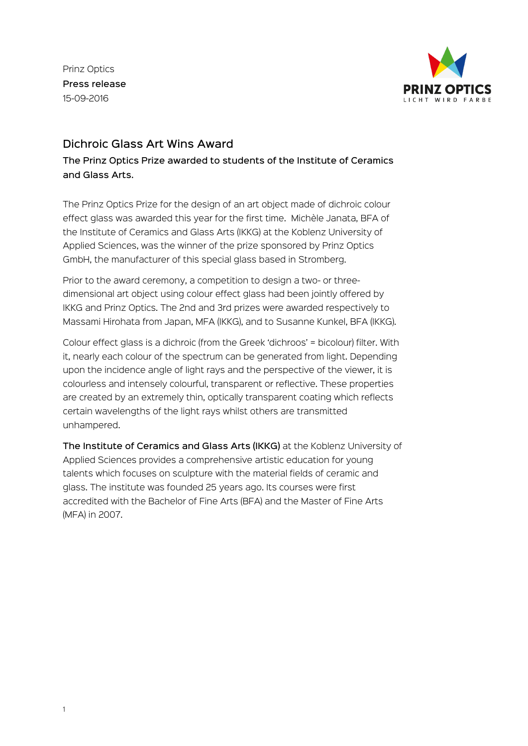Prinz Optics Press release 15-09-2016



# Dichroic Glass Art Wins Award

The Prinz Optics Prize awarded to students of the Institute of Ceramics and Glass Arts.

The Prinz Optics Prize for the design of an art object made of dichroic colour effect glass was awarded this year for the first time. Michèle Janata, BFA of the Institute of Ceramics and Glass Arts (IKKG) at the Koblenz University of Applied Sciences, was the winner of the prize sponsored by Prinz Optics GmbH, the manufacturer of this special glass based in Stromberg.

Prior to the award ceremony, a competition to design a two- or threedimensional art object using colour effect glass had been jointly offered by IKKG and Prinz Optics. The 2nd and 3rd prizes were awarded respectively to Massami Hirohata from Japan, MFA (IKKG), and to Susanne Kunkel, BFA (IKKG).

Colour effect glass is a dichroic (from the Greek 'dichroos' = bicolour) filter. With it, nearly each colour of the spectrum can be generated from light. Depending upon the incidence angle of light rays and the perspective of the viewer, it is colourless and intensely colourful, transparent or reflective. These properties are created by an extremely thin, optically transparent coating which reflects certain wavelengths of the light rays whilst others are transmitted unhampered.

The Institute of Ceramics and Glass Arts (IKKG) at the Koblenz University of Applied Sciences provides a comprehensive artistic education for young talents which focuses on sculpture with the material fields of ceramic and glass. The institute was founded 25 years ago. Its courses were first accredited with the Bachelor of Fine Arts (BFA) and the Master of Fine Arts (MFA) in 2007.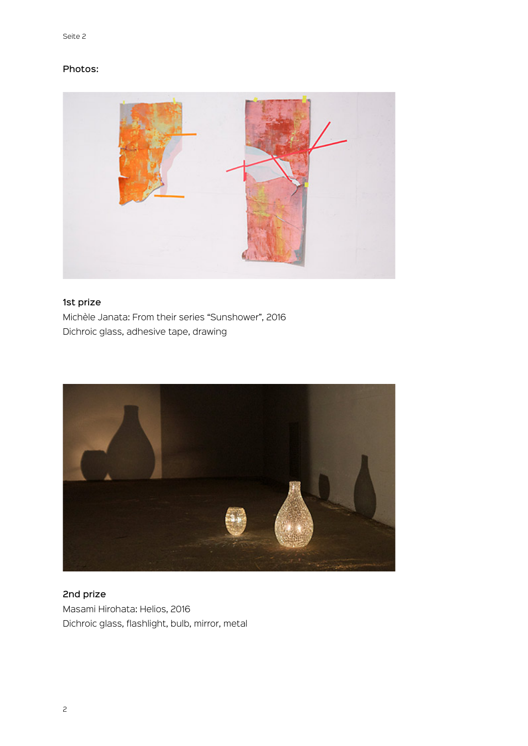### Photos:



## 1st prize

Michèle Janata: From their series "Sunshower", 2016 Dichroic glass, adhesive tape, drawing



# 2nd prize Masami Hirohata: Helios, 2016 Dichroic glass, flashlight, bulb, mirror, metal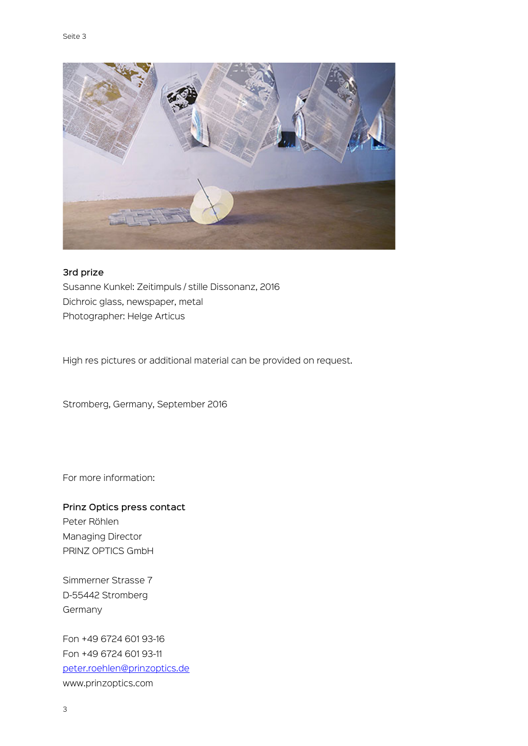

#### 3rd prize

Susanne Kunkel: Zeitimpuls / stille Dissonanz, 2016 Dichroic glass, newspaper, metal Photographer: Helge Articus

High res pictures or additional material can be provided on request.

Stromberg, Germany, September 2016

For more information:

## Prinz Optics press contact Peter Röhlen

Managing Director PRINZ OPTICS GmbH

Simmerner Strasse 7 D-55442 Stromberg Germany

Fon +49 6724 601 93-16 Fon +49 6724 601 93-11 peter.roehlen@prinzoptics.de www.prinzoptics.com